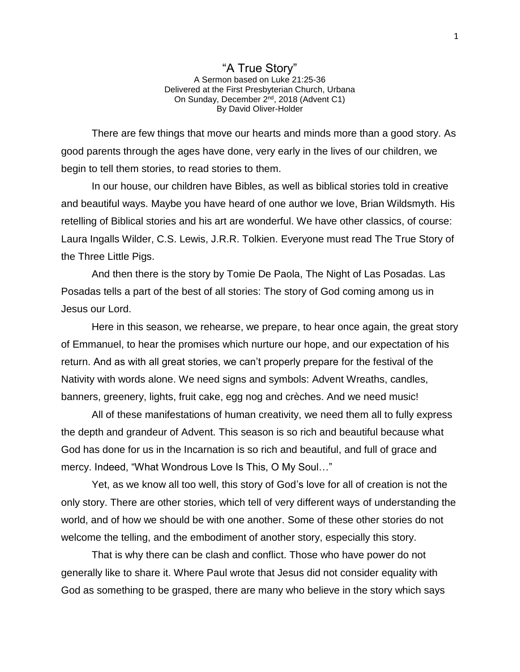## "A True Story" A Sermon based on Luke 21:25-36 Delivered at the First Presbyterian Church, Urbana On Sunday, December 2<sup>nd</sup>, 2018 (Advent C1) By David Oliver-Holder

There are few things that move our hearts and minds more than a good story. As good parents through the ages have done, very early in the lives of our children, we begin to tell them stories, to read stories to them.

In our house, our children have Bibles, as well as biblical stories told in creative and beautiful ways. Maybe you have heard of one author we love, Brian Wildsmyth. His retelling of Biblical stories and his art are wonderful. We have other classics, of course: Laura Ingalls Wilder, C.S. Lewis, J.R.R. Tolkien. Everyone must read The True Story of the Three Little Pigs.

And then there is the story by Tomie De Paola, The Night of Las Posadas. Las Posadas tells a part of the best of all stories: The story of God coming among us in Jesus our Lord.

Here in this season, we rehearse, we prepare, to hear once again, the great story of Emmanuel, to hear the promises which nurture our hope, and our expectation of his return. And as with all great stories, we can't properly prepare for the festival of the Nativity with words alone. We need signs and symbols: Advent Wreaths, candles, banners, greenery, lights, fruit cake, egg nog and crèches. And we need music!

All of these manifestations of human creativity, we need them all to fully express the depth and grandeur of Advent. This season is so rich and beautiful because what God has done for us in the Incarnation is so rich and beautiful, and full of grace and mercy. Indeed, "What Wondrous Love Is This, O My Soul…"

Yet, as we know all too well, this story of God's love for all of creation is not the only story. There are other stories, which tell of very different ways of understanding the world, and of how we should be with one another. Some of these other stories do not welcome the telling, and the embodiment of another story, especially this story.

That is why there can be clash and conflict. Those who have power do not generally like to share it. Where Paul wrote that Jesus did not consider equality with God as something to be grasped, there are many who believe in the story which says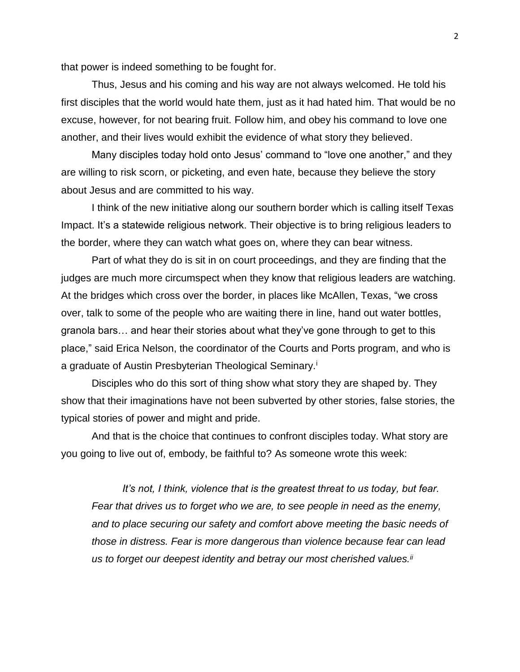that power is indeed something to be fought for.

Thus, Jesus and his coming and his way are not always welcomed. He told his first disciples that the world would hate them, just as it had hated him. That would be no excuse, however, for not bearing fruit. Follow him, and obey his command to love one another, and their lives would exhibit the evidence of what story they believed.

Many disciples today hold onto Jesus' command to "love one another," and they are willing to risk scorn, or picketing, and even hate, because they believe the story about Jesus and are committed to his way.

I think of the new initiative along our southern border which is calling itself Texas Impact. It's a statewide religious network. Their objective is to bring religious leaders to the border, where they can watch what goes on, where they can bear witness.

Part of what they do is sit in on court proceedings, and they are finding that the judges are much more circumspect when they know that religious leaders are watching. At the bridges which cross over the border, in places like McAllen, Texas, "we cross over, talk to some of the people who are waiting there in line, hand out water bottles, granola bars… and hear their stories about what they've gone through to get to this place," said Erica Nelson, the coordinator of the Courts and Ports program, and who is a graduate of Austin Presbyterian Theological Seminary.<sup>i</sup>

Disciples who do this sort of thing show what story they are shaped by. They show that their imaginations have not been subverted by other stories, false stories, the typical stories of power and might and pride.

And that is the choice that continues to confront disciples today. What story are you going to live out of, embody, be faithful to? As someone wrote this week:

*It's not, I think, violence that is the greatest threat to us today, but fear. Fear that drives us to forget who we are, to see people in need as the enemy, and to place securing our safety and comfort above meeting the basic needs of those in distress. Fear is more dangerous than violence because fear can lead us to forget our deepest identity and betray our most cherished values.ii*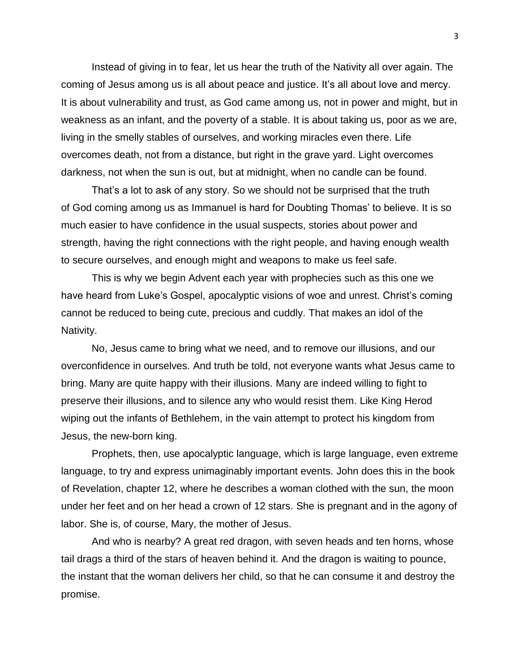Instead of giving in to fear, let us hear the truth of the Nativity all over again. The coming of Jesus among us is all about peace and justice. It's all about love and mercy. It is about vulnerability and trust, as God came among us, not in power and might, but in weakness as an infant, and the poverty of a stable. It is about taking us, poor as we are, living in the smelly stables of ourselves, and working miracles even there. Life overcomes death, not from a distance, but right in the grave yard. Light overcomes darkness, not when the sun is out, but at midnight, when no candle can be found.

That's a lot to ask of any story. So we should not be surprised that the truth of God coming among us as Immanuel is hard for Doubting Thomas' to believe. It is so much easier to have confidence in the usual suspects, stories about power and strength, having the right connections with the right people, and having enough wealth to secure ourselves, and enough might and weapons to make us feel safe.

This is why we begin Advent each year with prophecies such as this one we have heard from Luke's Gospel, apocalyptic visions of woe and unrest. Christ's coming cannot be reduced to being cute, precious and cuddly. That makes an idol of the Nativity.

No, Jesus came to bring what we need, and to remove our illusions, and our overconfidence in ourselves. And truth be told, not everyone wants what Jesus came to bring. Many are quite happy with their illusions. Many are indeed willing to fight to preserve their illusions, and to silence any who would resist them. Like King Herod wiping out the infants of Bethlehem, in the vain attempt to protect his kingdom from Jesus, the new-born king.

Prophets, then, use apocalyptic language, which is large language, even extreme language, to try and express unimaginably important events. John does this in the book of Revelation, chapter 12, where he describes a woman clothed with the sun, the moon under her feet and on her head a crown of 12 stars. She is pregnant and in the agony of labor. She is, of course, Mary, the mother of Jesus.

And who is nearby? A great red dragon, with seven heads and ten horns, whose tail drags a third of the stars of heaven behind it. And the dragon is waiting to pounce, the instant that the woman delivers her child, so that he can consume it and destroy the promise.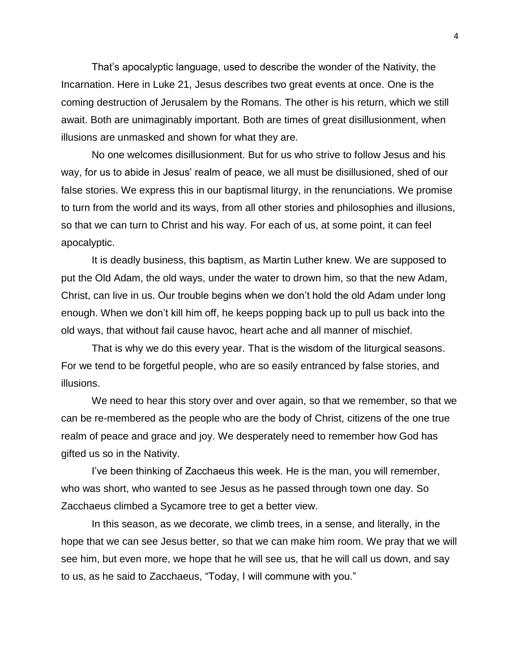That's apocalyptic language, used to describe the wonder of the Nativity, the Incarnation. Here in Luke 21, Jesus describes two great events at once. One is the coming destruction of Jerusalem by the Romans. The other is his return, which we still await. Both are unimaginably important. Both are times of great disillusionment, when illusions are unmasked and shown for what they are.

No one welcomes disillusionment. But for us who strive to follow Jesus and his way, for us to abide in Jesus' realm of peace, we all must be disillusioned, shed of our false stories. We express this in our baptismal liturgy, in the renunciations. We promise to turn from the world and its ways, from all other stories and philosophies and illusions, so that we can turn to Christ and his way. For each of us, at some point, it can feel apocalyptic.

It is deadly business, this baptism, as Martin Luther knew. We are supposed to put the Old Adam, the old ways, under the water to drown him, so that the new Adam, Christ, can live in us. Our trouble begins when we don't hold the old Adam under long enough. When we don't kill him off, he keeps popping back up to pull us back into the old ways, that without fail cause havoc, heart ache and all manner of mischief.

That is why we do this every year. That is the wisdom of the liturgical seasons. For we tend to be forgetful people, who are so easily entranced by false stories, and illusions.

We need to hear this story over and over again, so that we remember, so that we can be re-membered as the people who are the body of Christ, citizens of the one true realm of peace and grace and joy. We desperately need to remember how God has gifted us so in the Nativity.

I've been thinking of Zacchaeus this week. He is the man, you will remember, who was short, who wanted to see Jesus as he passed through town one day. So Zacchaeus climbed a Sycamore tree to get a better view.

In this season, as we decorate, we climb trees, in a sense, and literally, in the hope that we can see Jesus better, so that we can make him room. We pray that we will see him, but even more, we hope that he will see us, that he will call us down, and say to us, as he said to Zacchaeus, "Today, I will commune with you."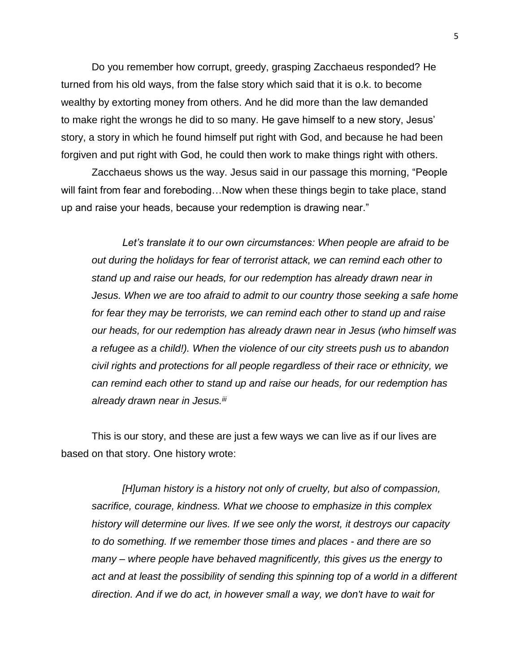Do you remember how corrupt, greedy, grasping Zacchaeus responded? He turned from his old ways, from the false story which said that it is o.k. to become wealthy by extorting money from others. And he did more than the law demanded to make right the wrongs he did to so many. He gave himself to a new story, Jesus' story, a story in which he found himself put right with God, and because he had been forgiven and put right with God, he could then work to make things right with others.

Zacchaeus shows us the way. Jesus said in our passage this morning, "People will faint from fear and foreboding…Now when these things begin to take place, stand up and raise your heads, because your redemption is drawing near."

*Let's translate it to our own circumstances: When people are afraid to be out during the holidays for fear of terrorist attack, we can remind each other to stand up and raise our heads, for our redemption has already drawn near in Jesus. When we are too afraid to admit to our country those seeking a safe home for fear they may be terrorists, we can remind each other to stand up and raise our heads, for our redemption has already drawn near in Jesus (who himself was a refugee as a child!). When the violence of our city streets push us to abandon civil rights and protections for all people regardless of their race or ethnicity, we can remind each other to stand up and raise our heads, for our redemption has already drawn near in Jesus.iii*

This is our story, and these are just a few ways we can live as if our lives are based on that story. One history wrote:

*[H]uman history is a history not only of cruelty, but also of compassion, sacrifice, courage, kindness. What we choose to emphasize in this complex history will determine our lives. If we see only the worst, it destroys our capacity to do something. If we remember those times and places - and there are so many – where people have behaved magnificently, this gives us the energy to act and at least the possibility of sending this spinning top of a world in a different direction. And if we do act, in however small a way, we don't have to wait for*